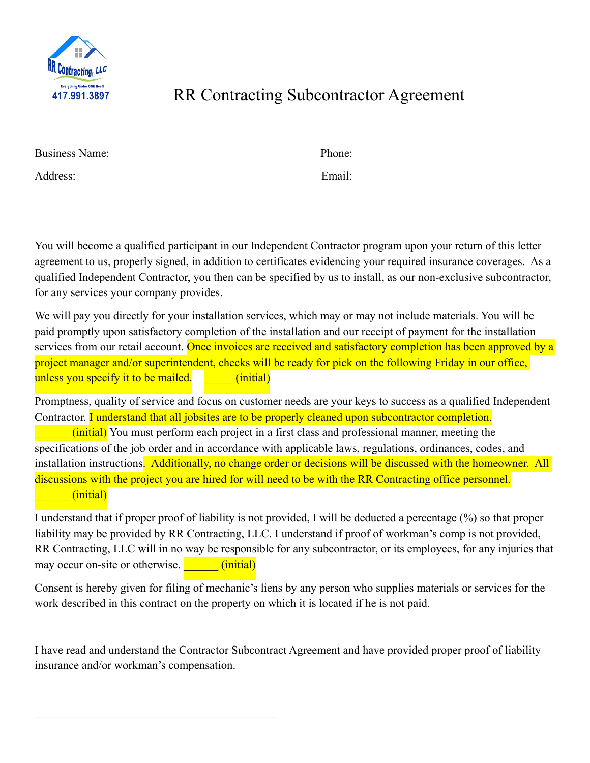

## RR Contracting Subcontractor Agreement

| <b>Business Name:</b> | Phone: |
|-----------------------|--------|
|-----------------------|--------|

Address: Email:

You will become a qualified participant in our Independent Contractor program upon your return of this letter agreement to us, properly signed, in addition to certificates evidencing your required insurance coverages. As a qualified Independent Contractor, you then can be specified by us to install, as our non-exclusive subcontractor, for any services your company provides.

We will pay you directly for your installation services, which may or may not include materials. You will be paid promptly upon satisfactory completion of the installation and our receipt of payment for the installation services from our retail account. Once invoices are received and satisfactory completion has been approved by a project manager and/or superintendent, checks will be ready for pick on the following Friday in our office, unless you specify it to be mailed. **The initial** 

Promptness, quality of service and focus on customer needs are your keys to success as a qualified Independent Contractor. I understand that all jobsites are to be properly cleaned upon subcontractor completion.

(initial) You must perform each project in a first class and professional manner, meeting the specifications of the job order and in accordance with applicable laws, regulations, ordinances, codes, and installation instructions. Additionally, no change order or decisions will be discussed with the homeowner. All discussions with the project you are hired for will need to be with the RR Contracting office personnel. \_\_\_\_\_\_ (initial)

I understand that if proper proof of liability is not provided, I will be deducted a percentage (%) so that proper liability may be provided by RR Contracting, LLC. I understand if proof of workman's comp is not provided, RR Contracting, LLC will in no way be responsible for any subcontractor, or its employees, for any injuries that may occur on-site or otherwise. \_\_\_\_\_\_ (initial)

Consent is hereby given for filing of mechanic's liens by any person who supplies materials or services for the work described in this contract on the property on which it is located if he is not paid.

I have read and understand the Contractor Subcontract Agreement and have provided proper proof of liability insurance and/or workman's compensation.

 $\mathcal{L}_\text{max}$  , and the set of the set of the set of the set of the set of the set of the set of the set of the set of the set of the set of the set of the set of the set of the set of the set of the set of the set of the